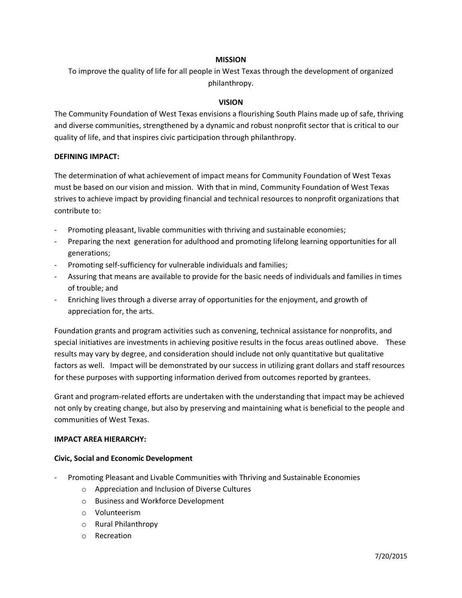## **MISSION**

To improve the quality of life for all people in West Texas through the development of organized philanthropy.

## **VISION**

The Community Foundation of West Texas envisions a flourishing South Plains made up of safe, thriving and diverse communities, strengthened by a dynamic and robust nonprofit sector that is critical to our quality of life, and that inspires civic participation through philanthropy.

### **DEFINING IMPACT:**

The determination of what achievement of impact means for Community Foundation of West Texas must be based on our vision and mission. With that in mind, Community Foundation of West Texas strives to achieve impact by providing financial and technical resources to nonprofit organizations that contribute to:

- Promoting pleasant, livable communities with thriving and sustainable economies;
- Preparing the next generation for adulthood and promoting lifelong learning opportunities for all generations;
- Promoting self-sufficiency for vulnerable individuals and families;
- Assuring that means are available to provide for the basic needs of individuals and families in times of trouble; and
- Enriching lives through a diverse array of opportunities for the enjoyment, and growth of appreciation for, the arts.

Foundation grants and program activities such as convening, technical assistance for nonprofits, and special initiatives are investments in achieving positive results in the focus areas outlined above. These results may vary by degree, and consideration should include not only quantitative but qualitative factors as well. Impact will be demonstrated by our success in utilizing grant dollars and staff resources for these purposes with supporting information derived from outcomes reported by grantees.

Grant and program-related efforts are undertaken with the understanding that impact may be achieved not only by creating change, but also by preserving and maintaining what is beneficial to the people and communities of West Texas.

### **IMPACT AREA HIERARCHY:**

### **Civic, Social and Economic Development**

- Promoting Pleasant and Livable Communities with Thriving and Sustainable Economies
	- o Appreciation and Inclusion of Diverse Cultures
	- o Business and Workforce Development
	- o Volunteerism
	- o Rural Philanthropy
	- o Recreation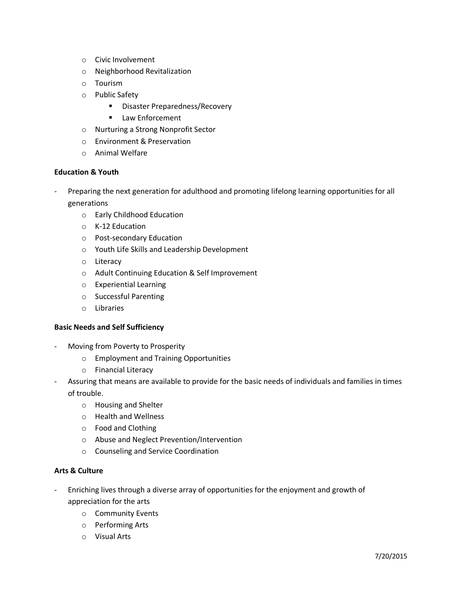- o Civic Involvement
- o Neighborhood Revitalization
- o Tourism
- o Public Safety
	- **Disaster Preparedness/Recovery**
	- **EXEC** Law Enforcement
- o Nurturing a Strong Nonprofit Sector
- o Environment & Preservation
- o Animal Welfare

## **Education & Youth**

- Preparing the next generation for adulthood and promoting lifelong learning opportunities for all generations
	- o Early Childhood Education
	- o K-12 Education
	- o Post-secondary Education
	- o Youth Life Skills and Leadership Development
	- o Literacy
	- o Adult Continuing Education & Self Improvement
	- o Experiential Learning
	- o Successful Parenting
	- o Libraries

### **Basic Needs and Self Sufficiency**

- Moving from Poverty to Prosperity
	- o Employment and Training Opportunities
	- o Financial Literacy
- Assuring that means are available to provide for the basic needs of individuals and families in times of trouble.
	- o Housing and Shelter
	- o Health and Wellness
	- o Food and Clothing
	- o Abuse and Neglect Prevention/Intervention
	- o Counseling and Service Coordination

### **Arts & Culture**

- Enriching lives through a diverse array of opportunities for the enjoyment and growth of appreciation for the arts
	- o Community Events
	- o Performing Arts
	- o Visual Arts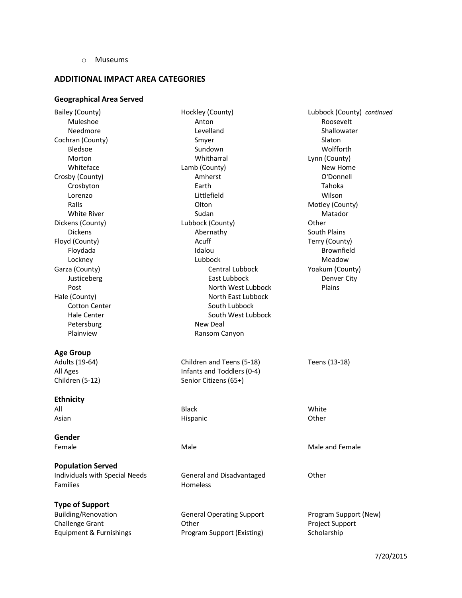o Museums

# **ADDITIONAL IMPACT AREA CATEGORIES**

# **Geographical Area Served**

| Bailey (County)                | Hockley (County)                 | Lubbock (County) continued |
|--------------------------------|----------------------------------|----------------------------|
| Muleshoe                       | Anton                            | Roosevelt                  |
| Needmore                       | Levelland                        | Shallowater                |
| Cochran (County)               | Smyer                            | Slaton                     |
| Bledsoe                        | Sundown                          | Wolfforth                  |
| Morton                         | Whitharral                       | Lynn (County)              |
| Whiteface                      | Lamb (County)                    | New Home                   |
| Crosby (County)                | Amherst                          | O'Donnell                  |
| Crosbyton                      | Earth                            | Tahoka                     |
| Lorenzo                        | Littlefield                      | Wilson                     |
| Ralls                          | Olton                            | Motley (County)            |
| <b>White River</b>             | Sudan                            | Matador                    |
| Dickens (County)               | Lubbock (County)                 | Other                      |
| <b>Dickens</b>                 | Abernathy                        | South Plains               |
| Floyd (County)                 | Acuff                            | Terry (County)             |
| Floydada                       | Idalou                           | Brownfield                 |
| Lockney                        | Lubbock                          | Meadow                     |
| Garza (County)                 | Central Lubbock                  | Yoakum (County)            |
| Justiceberg                    | East Lubbock                     | Denver City                |
| Post                           | North West Lubbock               | Plains                     |
| Hale (County)                  | North East Lubbock               |                            |
| <b>Cotton Center</b>           | South Lubbock                    |                            |
| Hale Center                    | South West Lubbock               |                            |
| Petersburg                     | New Deal                         |                            |
| Plainview                      | Ransom Canyon                    |                            |
|                                |                                  |                            |
| <b>Age Group</b>               |                                  |                            |
| Adults (19-64)                 | Children and Teens (5-18)        | Teens (13-18)              |
| All Ages                       | Infants and Toddlers (0-4)       |                            |
| Children (5-12)                | Senior Citizens (65+)            |                            |
|                                |                                  |                            |
| <b>Ethnicity</b>               |                                  |                            |
| All                            | <b>Black</b>                     | White                      |
| Asian                          | <b>Hispanic</b>                  | Other                      |
|                                |                                  |                            |
| Gender                         |                                  |                            |
| Female                         | Male                             | Male and Female            |
|                                |                                  |                            |
| <b>Population Served</b>       |                                  |                            |
| Individuals with Special Needs | General and Disadvantaged        | Other                      |
| Families                       | <b>Homeless</b>                  |                            |
|                                |                                  |                            |
|                                |                                  |                            |
| <b>Type of Support</b>         |                                  |                            |
| Building/Renovation            | <b>General Operating Support</b> | Program Support (New)      |
| <b>Challenge Grant</b>         | Other                            | Project Support            |
| Equipment & Furnishings        | Program Support (Existing)       | Scholarship                |
|                                |                                  |                            |